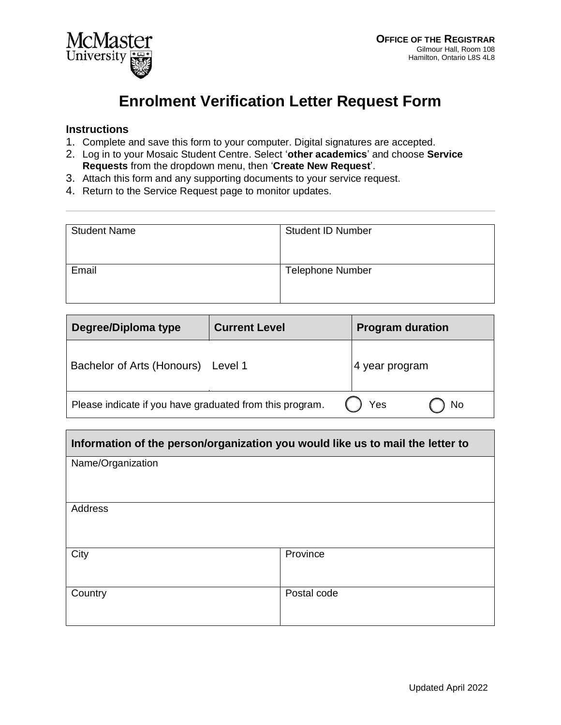

## **Enrolment Verification Letter Request Form**

## **Instructions**

- 1. Complete and save this form to your computer. Digital signatures are accepted.
- 2. Log in to your Mosaic Student Centre. Select '**other academics**' and choose **Service Requests** from the dropdown menu, then '**Create New Request**'.
- 3. Attach this form and any supporting documents to your service request.
- 4. Return to the Service Request page to monitor updates.

| <b>Student Name</b> | <b>Student ID Number</b> |
|---------------------|--------------------------|
| Email               | <b>Telephone Number</b>  |

| Degree/Diploma type                                      | <b>Current Level</b> | <b>Program duration</b> |
|----------------------------------------------------------|----------------------|-------------------------|
| Bachelor of Arts (Honours) Level 1                       |                      | 4 year program          |
| Please indicate if you have graduated from this program. |                      | Yes<br>No               |

| Information of the person/organization you would like us to mail the letter to |             |  |
|--------------------------------------------------------------------------------|-------------|--|
| Name/Organization                                                              |             |  |
|                                                                                |             |  |
| Address                                                                        |             |  |
|                                                                                |             |  |
| City                                                                           | Province    |  |
|                                                                                |             |  |
| Country                                                                        | Postal code |  |
|                                                                                |             |  |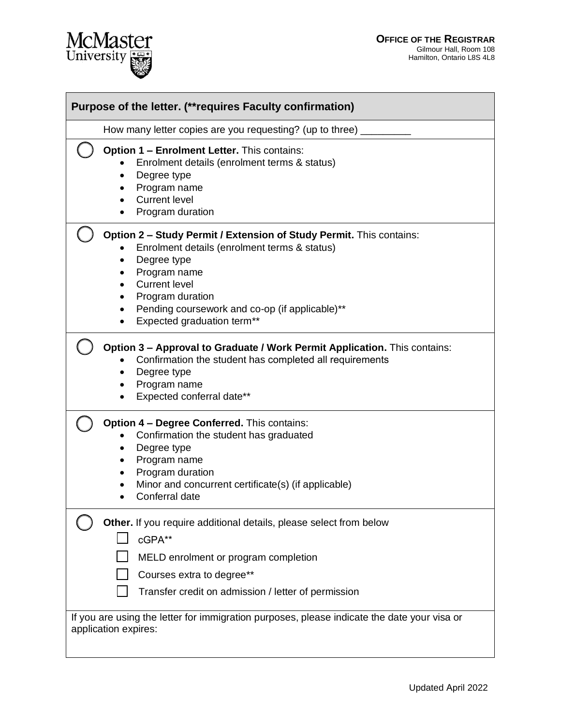

| Purpose of the letter. (** requires Faculty confirmation) |                                                                                                                                                                                                                                                                                                                              |  |  |
|-----------------------------------------------------------|------------------------------------------------------------------------------------------------------------------------------------------------------------------------------------------------------------------------------------------------------------------------------------------------------------------------------|--|--|
|                                                           | How many letter copies are you requesting? (up to three)                                                                                                                                                                                                                                                                     |  |  |
|                                                           | Option 1 - Enrolment Letter. This contains:<br>Enrolment details (enrolment terms & status)<br>Degree type<br>$\bullet$<br>Program name<br><b>Current level</b><br>$\bullet$<br>Program duration                                                                                                                             |  |  |
|                                                           | Option 2 - Study Permit / Extension of Study Permit. This contains:<br>Enrolment details (enrolment terms & status)<br>Degree type<br>٠<br>Program name<br>$\bullet$<br><b>Current level</b><br>$\bullet$<br>Program duration<br>٠<br>Pending coursework and co-op (if applicable)**<br>٠<br>Expected graduation term**<br>٠ |  |  |
|                                                           | Option 3 - Approval to Graduate / Work Permit Application. This contains:<br>Confirmation the student has completed all requirements<br>Degree type<br>٠<br>Program name<br>٠<br>Expected conferral date**                                                                                                                   |  |  |
|                                                           | <b>Option 4 - Degree Conferred.</b> This contains:<br>Confirmation the student has graduated<br>Degree type<br>$\bullet$<br>Program name<br>$\bullet$<br>Program duration<br>٠<br>Minor and concurrent certificate(s) (if applicable)<br>Conferral date                                                                      |  |  |
|                                                           | Other. If you require additional details, please select from below<br>cGPA**<br>MELD enrolment or program completion<br>Courses extra to degree**<br>Transfer credit on admission / letter of permission                                                                                                                     |  |  |
|                                                           | If you are using the letter for immigration purposes, please indicate the date your visa or<br>application expires:                                                                                                                                                                                                          |  |  |

McMaster